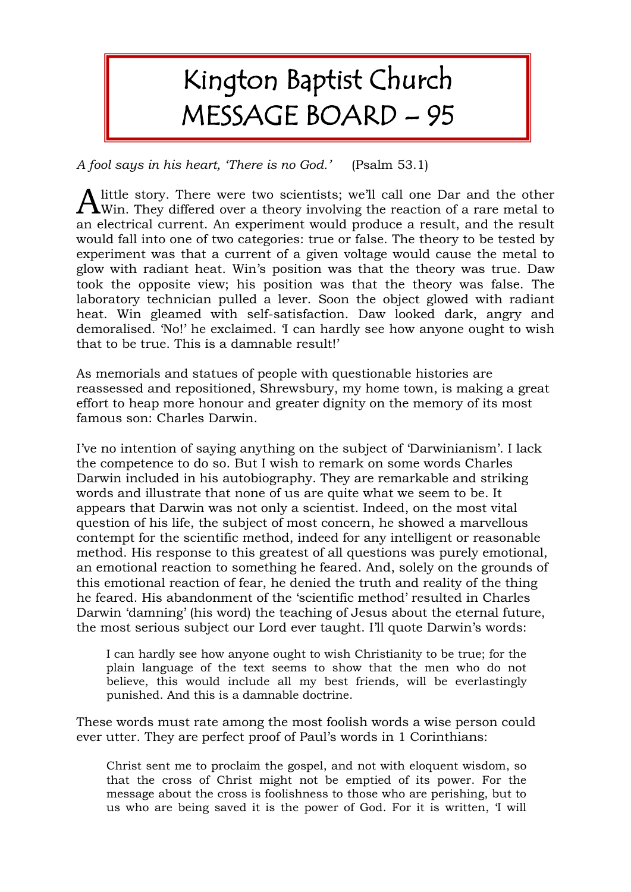# Kington Baptist Church MESSAGE BOARD – 95

*A fool says in his heart, 'There is no God.'* (Psalm 53.1)

little story. There were two scientists; we'll call one Dar and the other  $A$  little story. There were two scientists; we'll call one Dar and the other Win. They differed over a theory involving the reaction of a rare metal to an electrical current. An experiment would produce a result, and the result would fall into one of two categories: true or false. The theory to be tested by experiment was that a current of a given voltage would cause the metal to glow with radiant heat. Win's position was that the theory was true. Daw took the opposite view; his position was that the theory was false. The laboratory technician pulled a lever. Soon the object glowed with radiant heat. Win gleamed with self-satisfaction. Daw looked dark, angry and demoralised. 'No!' he exclaimed. 'I can hardly see how anyone ought to wish that to be true. This is a damnable result!'

As memorials and statues of people with questionable histories are reassessed and repositioned, Shrewsbury, my home town, is making a great effort to heap more honour and greater dignity on the memory of its most famous son: Charles Darwin.

I've no intention of saying anything on the subject of 'Darwinianism'. I lack the competence to do so. But I wish to remark on some words Charles Darwin included in his autobiography. They are remarkable and striking words and illustrate that none of us are quite what we seem to be. It appears that Darwin was not only a scientist. Indeed, on the most vital question of his life, the subject of most concern, he showed a marvellous contempt for the scientific method, indeed for any intelligent or reasonable method. His response to this greatest of all questions was purely emotional, an emotional reaction to something he feared. And, solely on the grounds of this emotional reaction of fear, he denied the truth and reality of the thing he feared. His abandonment of the 'scientific method' resulted in Charles Darwin 'damning' (his word) the teaching of Jesus about the eternal future, the most serious subject our Lord ever taught. I'll quote Darwin's words:

I can hardly see how anyone ought to wish Christianity to be true; for the plain language of the text seems to show that the men who do not believe, this would include all my best friends, will be everlastingly punished. And this is a damnable doctrine.

These words must rate among the most foolish words a wise person could ever utter. They are perfect proof of Paul's words in 1 Corinthians:

Christ sent me to proclaim the gospel, and not with eloquent wisdom, so that the cross of Christ might not be emptied of its power. For the message about the cross is foolishness to those who are perishing, but to us who are being saved it is the power of God. For it is written, 'I will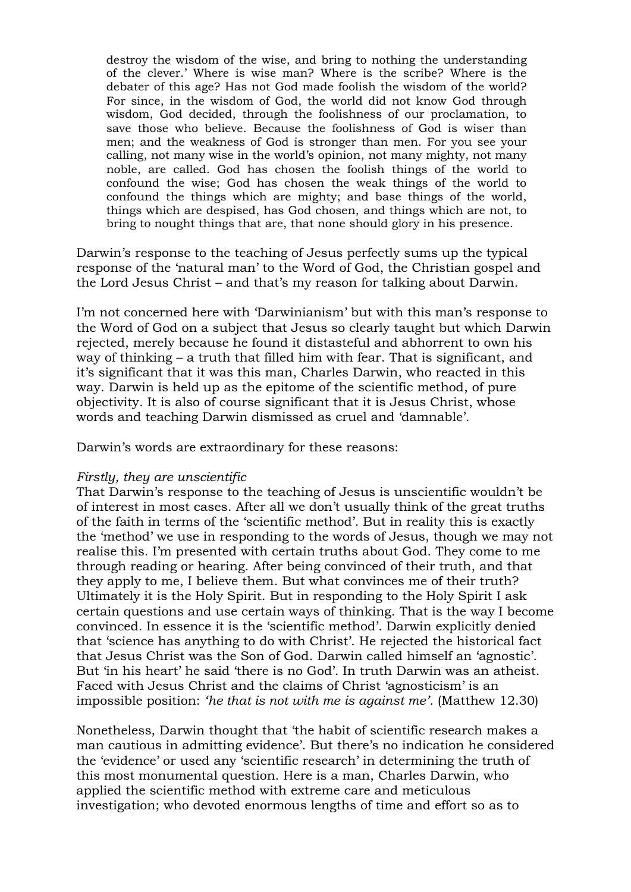destroy the wisdom of the wise, and bring to nothing the understanding of the clever.' Where is wise man? Where is the scribe? Where is the debater of this age? Has not God made foolish the wisdom of the world? For since, in the wisdom of God, the world did not know God through wisdom, God decided, through the foolishness of our proclamation, to save those who believe. Because the foolishness of God is wiser than men; and the weakness of God is stronger than men. For you see your calling, not many wise in the world's opinion, not many mighty, not many noble, are called. God has chosen the foolish things of the world to confound the wise; God has chosen the weak things of the world to confound the things which are mighty; and base things of the world, things which are despised, has God chosen, and things which are not, to bring to nought things that are, that none should glory in his presence.

Darwin's response to the teaching of Jesus perfectly sums up the typical response of the 'natural man' to the Word of God, the Christian gospel and the Lord Jesus Christ – and that's my reason for talking about Darwin.

I'm not concerned here with 'Darwinianism' but with this man's response to the Word of God on a subject that Jesus so clearly taught but which Darwin rejected, merely because he found it distasteful and abhorrent to own his way of thinking – a truth that filled him with fear. That is significant, and it's significant that it was this man, Charles Darwin, who reacted in this way. Darwin is held up as the epitome of the scientific method, of pure objectivity. It is also of course significant that it is Jesus Christ, whose words and teaching Darwin dismissed as cruel and 'damnable'.

Darwin's words are extraordinary for these reasons:

### *Firstly, they are unscientific*

That Darwin's response to the teaching of Jesus is unscientific wouldn't be of interest in most cases. After all we don't usually think of the great truths of the faith in terms of the 'scientific method'. But in reality this is exactly the 'method' we use in responding to the words of Jesus, though we may not realise this. I'm presented with certain truths about God. They come to me through reading or hearing. After being convinced of their truth, and that they apply to me, I believe them. But what convinces me of their truth? Ultimately it is the Holy Spirit. But in responding to the Holy Spirit I ask certain questions and use certain ways of thinking. That is the way I become convinced. In essence it is the 'scientific method'. Darwin explicitly denied that 'science has anything to do with Christ'. He rejected the historical fact that Jesus Christ was the Son of God. Darwin called himself an 'agnostic'. But 'in his heart' he said 'there is no God'. In truth Darwin was an atheist. Faced with Jesus Christ and the claims of Christ 'agnosticism' is an impossible position: *'he that is not with me is against me'*. (Matthew 12.30)

Nonetheless, Darwin thought that 'the habit of scientific research makes a man cautious in admitting evidence'. But there's no indication he considered the 'evidence' or used any 'scientific research' in determining the truth of this most monumental question. Here is a man, Charles Darwin, who applied the scientific method with extreme care and meticulous investigation; who devoted enormous lengths of time and effort so as to